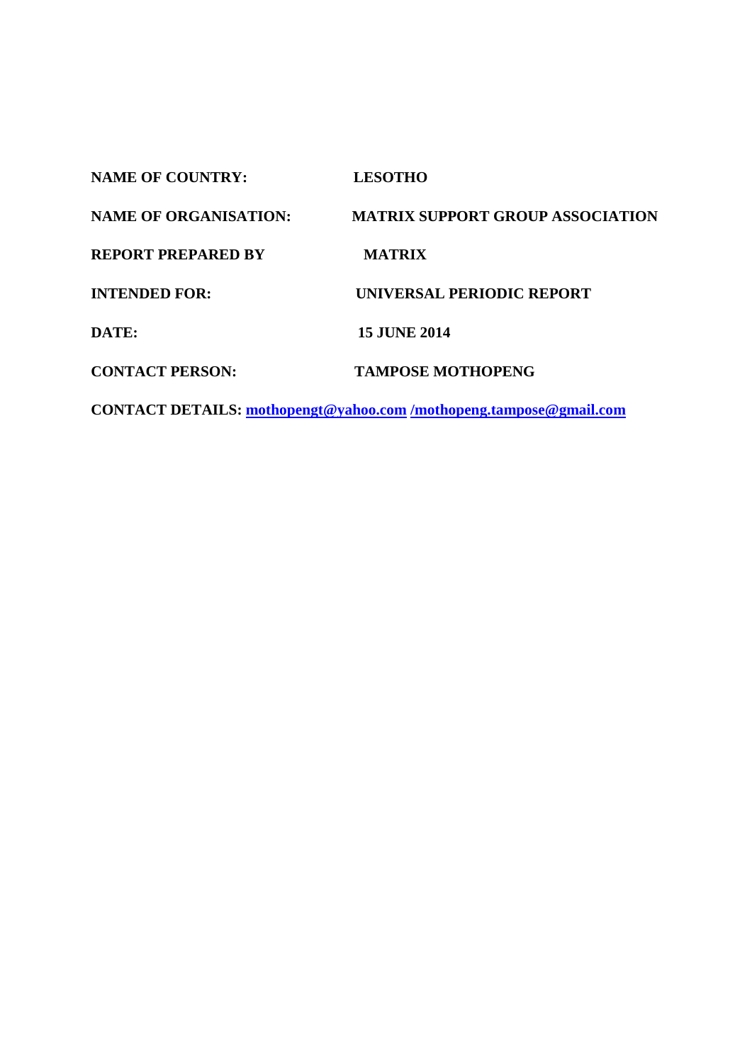| <b>NAME OF COUNTRY:</b>      | <b>LESOTHO</b>                          |
|------------------------------|-----------------------------------------|
| <b>NAME OF ORGANISATION:</b> | <b>MATRIX SUPPORT GROUP ASSOCIATION</b> |
| <b>REPORT PREPARED BY</b>    | <b>MATRIX</b>                           |
| <b>INTENDED FOR:</b>         | <b>UNIVERSAL PERIODIC REPORT</b>        |
| DATE:                        | <b>15 JUNE 2014</b>                     |
| <b>CONTACT PERSON:</b>       | <b>TAMPOSE MOTHOPENG</b>                |
|                              |                                         |

**CONTACT DETAILS: [mothopengt@yahoo.com](mailto:mothopengt@yahoo.com) [/mothopeng.tampose@gmail.com](mailto:/mothopeng.tampose@gmail.com)**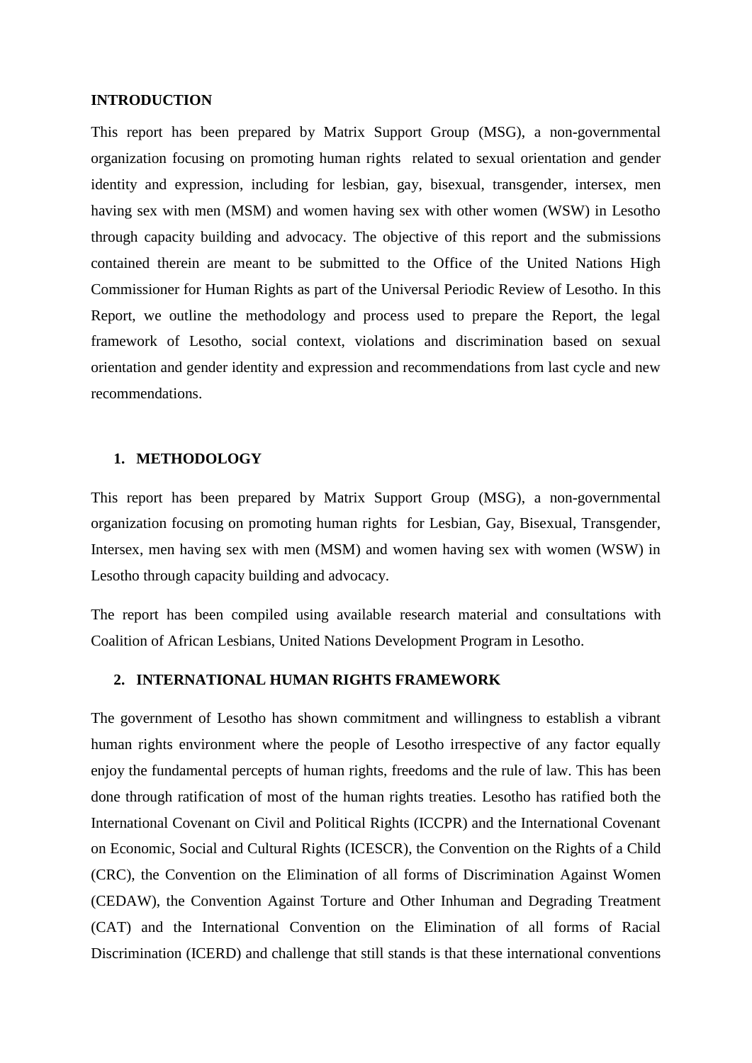#### **INTRODUCTION**

This report has been prepared by Matrix Support Group (MSG), a non-governmental organization focusing on promoting human rights related to sexual orientation and gender identity and expression, including for lesbian, gay, bisexual, transgender, intersex, men having sex with men (MSM) and women having sex with other women (WSW) in Lesotho through capacity building and advocacy. The objective of this report and the submissions contained therein are meant to be submitted to the Office of the United Nations High Commissioner for Human Rights as part of the Universal Periodic Review of Lesotho. In this Report, we outline the methodology and process used to prepare the Report, the legal framework of Lesotho, social context, violations and discrimination based on sexual orientation and gender identity and expression and recommendations from last cycle and new recommendations.

#### **1. METHODOLOGY**

This report has been prepared by Matrix Support Group (MSG), a non-governmental organization focusing on promoting human rights for Lesbian, Gay, Bisexual, Transgender, Intersex, men having sex with men (MSM) and women having sex with women (WSW) in Lesotho through capacity building and advocacy.

The report has been compiled using available research material and consultations with Coalition of African Lesbians, United Nations Development Program in Lesotho.

#### **2. INTERNATIONAL HUMAN RIGHTS FRAMEWORK**

The government of Lesotho has shown commitment and willingness to establish a vibrant human rights environment where the people of Lesotho irrespective of any factor equally enjoy the fundamental percepts of human rights, freedoms and the rule of law. This has been done through ratification of most of the human rights treaties. Lesotho has ratified both the International Covenant on Civil and Political Rights (ICCPR) and the International Covenant on Economic, Social and Cultural Rights (ICESCR), the Convention on the Rights of a Child (CRC), the Convention on the Elimination of all forms of Discrimination Against Women (CEDAW), the Convention Against Torture and Other Inhuman and Degrading Treatment (CAT) and the International Convention on the Elimination of all forms of Racial Discrimination (ICERD) and challenge that still stands is that these international conventions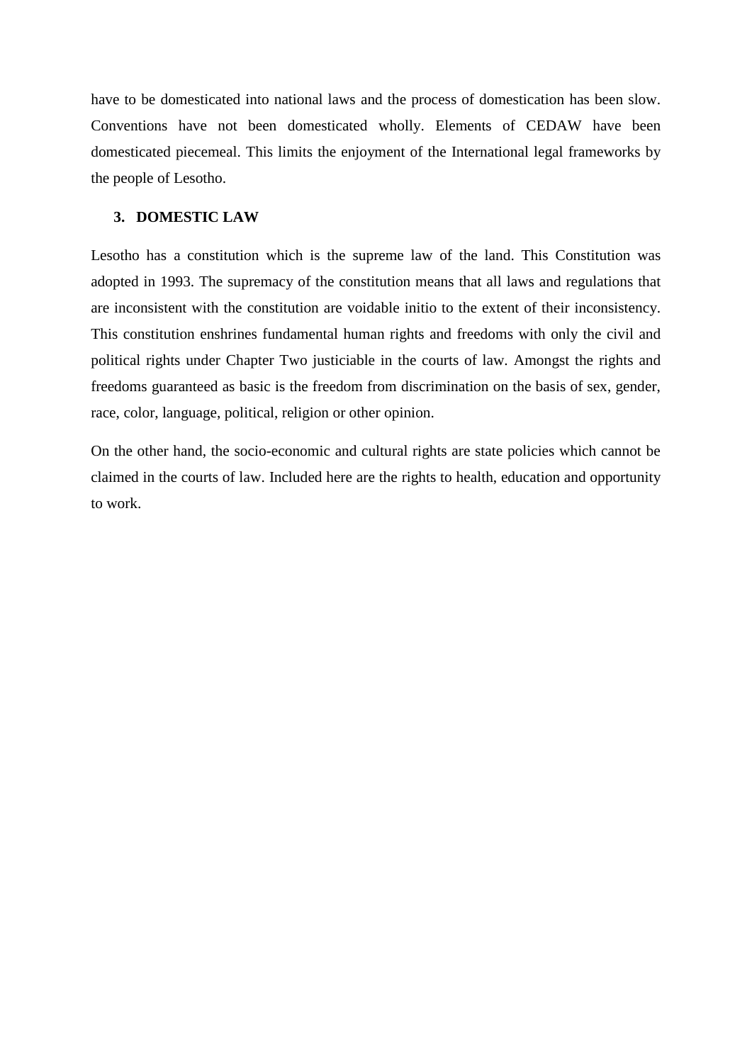have to be domesticated into national laws and the process of domestication has been slow. Conventions have not been domesticated wholly. Elements of CEDAW have been domesticated piecemeal. This limits the enjoyment of the International legal frameworks by the people of Lesotho.

#### **3. DOMESTIC LAW**

Lesotho has a constitution which is the supreme law of the land. This Constitution was adopted in 1993. The supremacy of the constitution means that all laws and regulations that are inconsistent with the constitution are voidable initio to the extent of their inconsistency. This constitution enshrines fundamental human rights and freedoms with only the civil and political rights under Chapter Two justiciable in the courts of law. Amongst the rights and freedoms guaranteed as basic is the freedom from discrimination on the basis of sex, gender, race, color, language, political, religion or other opinion.

On the other hand, the socio-economic and cultural rights are state policies which cannot be claimed in the courts of law. Included here are the rights to health, education and opportunity to work.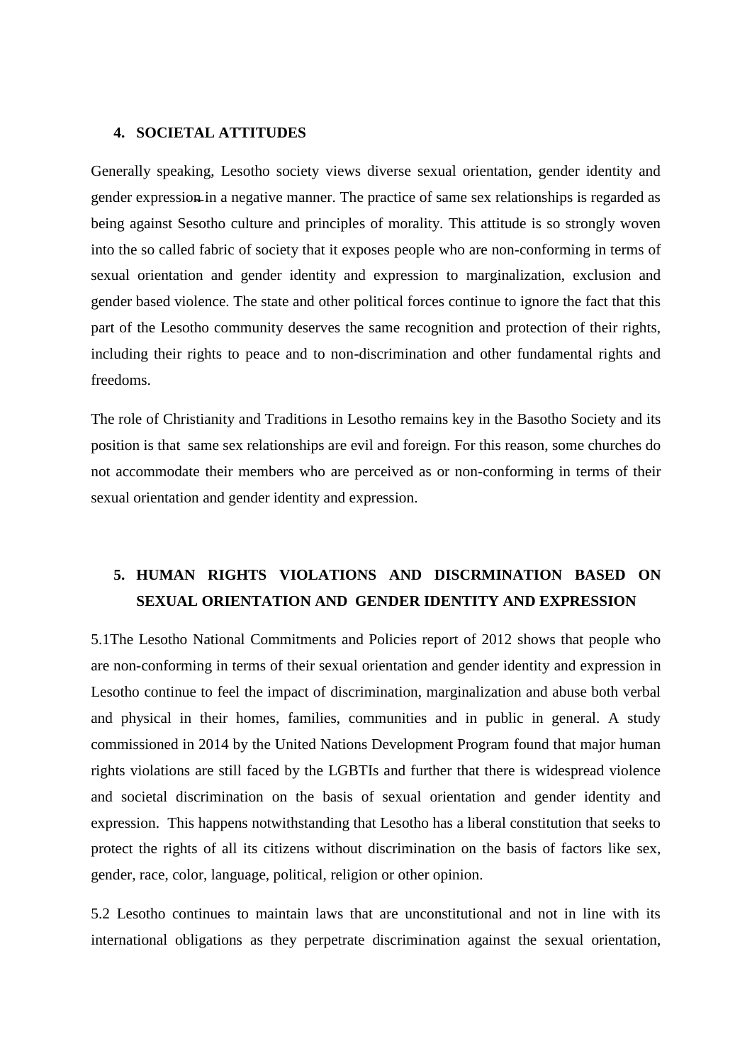## **4. SOCIETAL ATTITUDES**

Generally speaking, Lesotho society views diverse sexual orientation, gender identity and gender expression in a negative manner. The practice of same sex relationships is regarded as being against Sesotho culture and principles of morality. This attitude is so strongly woven into the so called fabric of society that it exposes people who are non-conforming in terms of sexual orientation and gender identity and expression to marginalization, exclusion and gender based violence. The state and other political forces continue to ignore the fact that this part of the Lesotho community deserves the same recognition and protection of their rights, including their rights to peace and to non-discrimination and other fundamental rights and freedoms.

The role of Christianity and Traditions in Lesotho remains key in the Basotho Society and its position is that same sex relationships are evil and foreign. For this reason, some churches do not accommodate their members who are perceived as or non-conforming in terms of their sexual orientation and gender identity and expression.

# **5. HUMAN RIGHTS VIOLATIONS AND DISCRMINATION BASED ON SEXUAL ORIENTATION AND GENDER IDENTITY AND EXPRESSION**

5.1The Lesotho National Commitments and Policies report of 2012 shows that people who are non-conforming in terms of their sexual orientation and gender identity and expression in Lesotho continue to feel the impact of discrimination, marginalization and abuse both verbal and physical in their homes, families, communities and in public in general. A study commissioned in 2014 by the United Nations Development Program found that major human rights violations are still faced by the LGBTIs and further that there is widespread violence and societal discrimination on the basis of sexual orientation and gender identity and expression. This happens notwithstanding that Lesotho has a liberal constitution that seeks to protect the rights of all its citizens without discrimination on the basis of factors like sex, gender, race, color, language, political, religion or other opinion.

5.2 Lesotho continues to maintain laws that are unconstitutional and not in line with its international obligations as they perpetrate discrimination against the sexual orientation,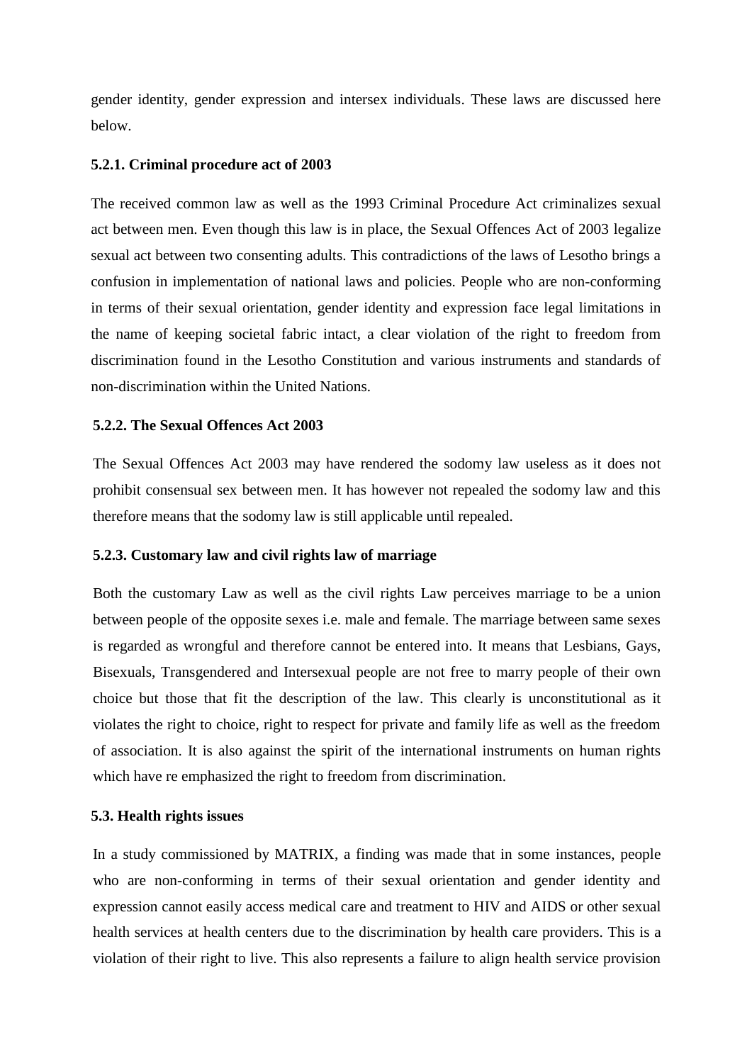gender identity, gender expression and intersex individuals. These laws are discussed here below.

## **5.2.1. Criminal procedure act of 2003**

The received common law as well as the 1993 Criminal Procedure Act criminalizes sexual act between men. Even though this law is in place, the Sexual Offences Act of 2003 legalize sexual act between two consenting adults. This contradictions of the laws of Lesotho brings a confusion in implementation of national laws and policies. People who are non-conforming in terms of their sexual orientation, gender identity and expression face legal limitations in the name of keeping societal fabric intact, a clear violation of the right to freedom from discrimination found in the Lesotho Constitution and various instruments and standards of non-discrimination within the United Nations.

## **5.2.2. The Sexual Offences Act 2003**

The Sexual Offences Act 2003 may have rendered the sodomy law useless as it does not prohibit consensual sex between men. It has however not repealed the sodomy law and this therefore means that the sodomy law is still applicable until repealed.

# **5.2.3. Customary law and civil rights law of marriage**

Both the customary Law as well as the civil rights Law perceives marriage to be a union between people of the opposite sexes i.e. male and female. The marriage between same sexes is regarded as wrongful and therefore cannot be entered into. It means that Lesbians, Gays, Bisexuals, Transgendered and Intersexual people are not free to marry people of their own choice but those that fit the description of the law. This clearly is unconstitutional as it violates the right to choice, right to respect for private and family life as well as the freedom of association. It is also against the spirit of the international instruments on human rights which have re emphasized the right to freedom from discrimination.

# **5.3. Health rights issues**

In a study commissioned by MATRIX, a finding was made that in some instances, people who are non-conforming in terms of their sexual orientation and gender identity and expression cannot easily access medical care and treatment to HIV and AIDS or other sexual health services at health centers due to the discrimination by health care providers. This is a violation of their right to live. This also represents a failure to align health service provision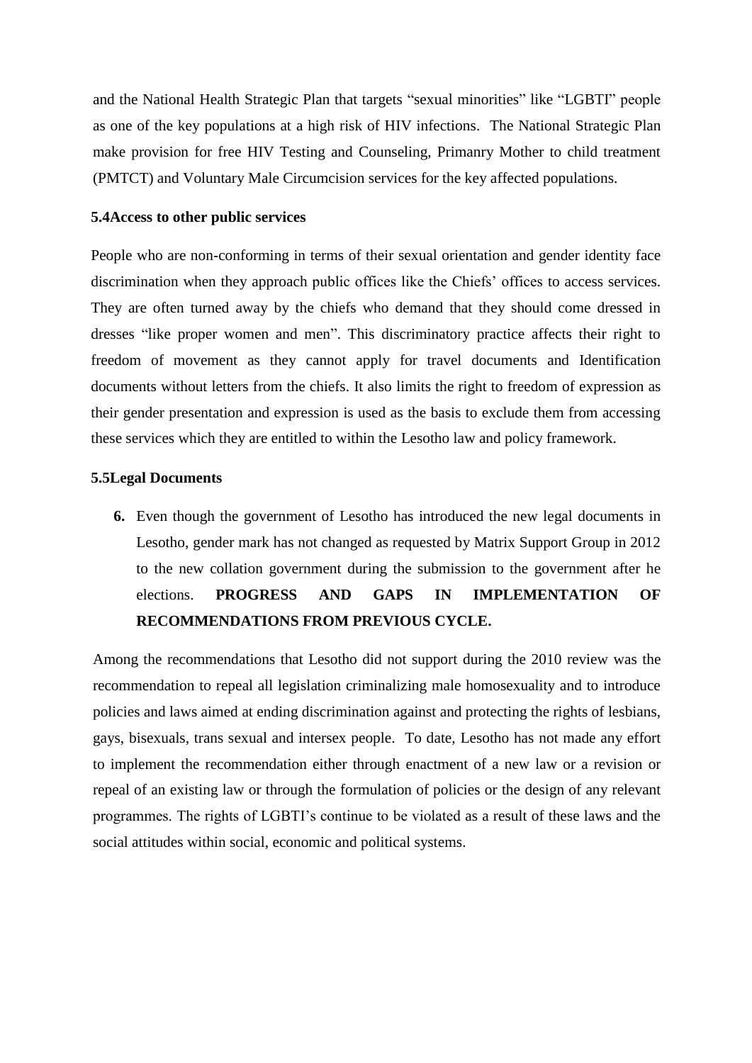and the National Health Strategic Plan that targets "sexual minorities" like "LGBTI" people as one of the key populations at a high risk of HIV infections. The National Strategic Plan make provision for free HIV Testing and Counseling, Primanry Mother to child treatment (PMTCT) and Voluntary Male Circumcision services for the key affected populations.

#### **5.4Access to other public services**

People who are non-conforming in terms of their sexual orientation and gender identity face discrimination when they approach public offices like the Chiefs' offices to access services. They are often turned away by the chiefs who demand that they should come dressed in dresses "like proper women and men". This discriminatory practice affects their right to freedom of movement as they cannot apply for travel documents and Identification documents without letters from the chiefs. It also limits the right to freedom of expression as their gender presentation and expression is used as the basis to exclude them from accessing these services which they are entitled to within the Lesotho law and policy framework.

#### **5.5Legal Documents**

**6.** Even though the government of Lesotho has introduced the new legal documents in Lesotho, gender mark has not changed as requested by Matrix Support Group in 2012 to the new collation government during the submission to the government after he elections. **PROGRESS AND GAPS IN IMPLEMENTATION OF RECOMMENDATIONS FROM PREVIOUS CYCLE.**

Among the recommendations that Lesotho did not support during the 2010 review was the recommendation to repeal all legislation criminalizing male homosexuality and to introduce policies and laws aimed at ending discrimination against and protecting the rights of lesbians, gays, bisexuals, trans sexual and intersex people. To date, Lesotho has not made any effort to implement the recommendation either through enactment of a new law or a revision or repeal of an existing law or through the formulation of policies or the design of any relevant programmes. The rights of LGBTI's continue to be violated as a result of these laws and the social attitudes within social, economic and political systems.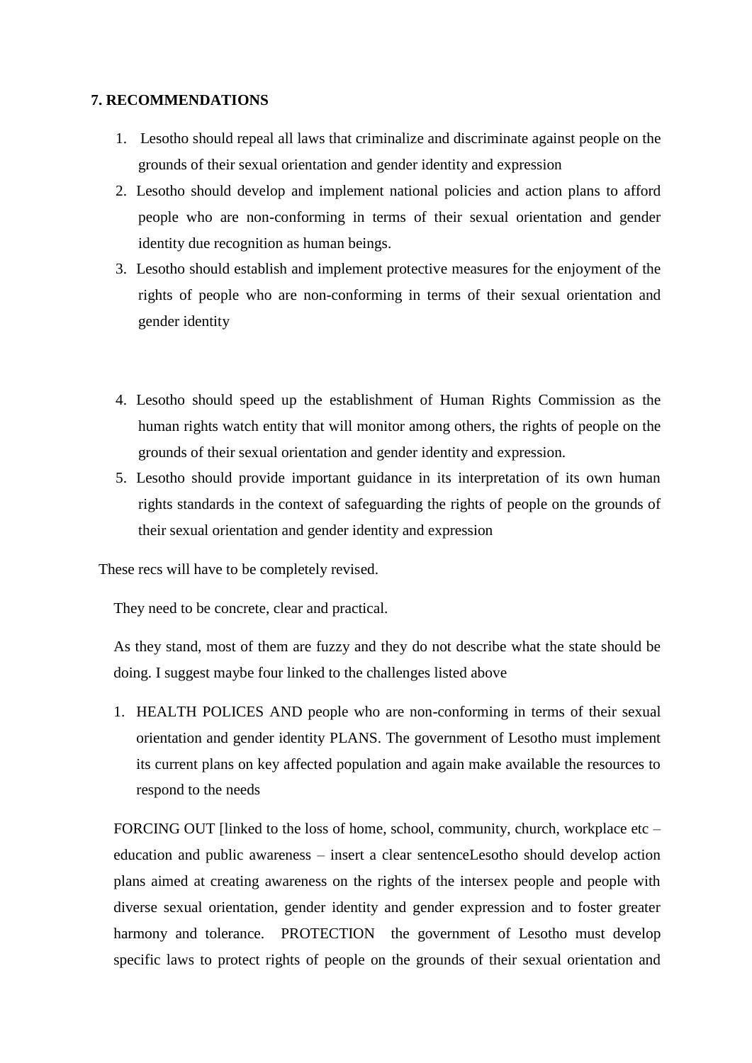## **7. RECOMMENDATIONS**

- 1. Lesotho should repeal all laws that criminalize and discriminate against people on the grounds of their sexual orientation and gender identity and expression
- 2. Lesotho should develop and implement national policies and action plans to afford people who are non-conforming in terms of their sexual orientation and gender identity due recognition as human beings.
- 3. Lesotho should establish and implement protective measures for the enjoyment of the rights of people who are non-conforming in terms of their sexual orientation and gender identity
- 4. Lesotho should speed up the establishment of Human Rights Commission as the human rights watch entity that will monitor among others, the rights of people on the grounds of their sexual orientation and gender identity and expression.
- 5. Lesotho should provide important guidance in its interpretation of its own human rights standards in the context of safeguarding the rights of people on the grounds of their sexual orientation and gender identity and expression

These recs will have to be completely revised.

They need to be concrete, clear and practical.

As they stand, most of them are fuzzy and they do not describe what the state should be doing. I suggest maybe four linked to the challenges listed above

1. HEALTH POLICES AND people who are non-conforming in terms of their sexual orientation and gender identity PLANS. The government of Lesotho must implement its current plans on key affected population and again make available the resources to respond to the needs

FORCING OUT [linked to the loss of home, school, community, church, workplace etc – education and public awareness – insert a clear sentenceLesotho should develop action plans aimed at creating awareness on the rights of the intersex people and people with diverse sexual orientation, gender identity and gender expression and to foster greater harmony and tolerance. PROTECTION the government of Lesotho must develop specific laws to protect rights of people on the grounds of their sexual orientation and